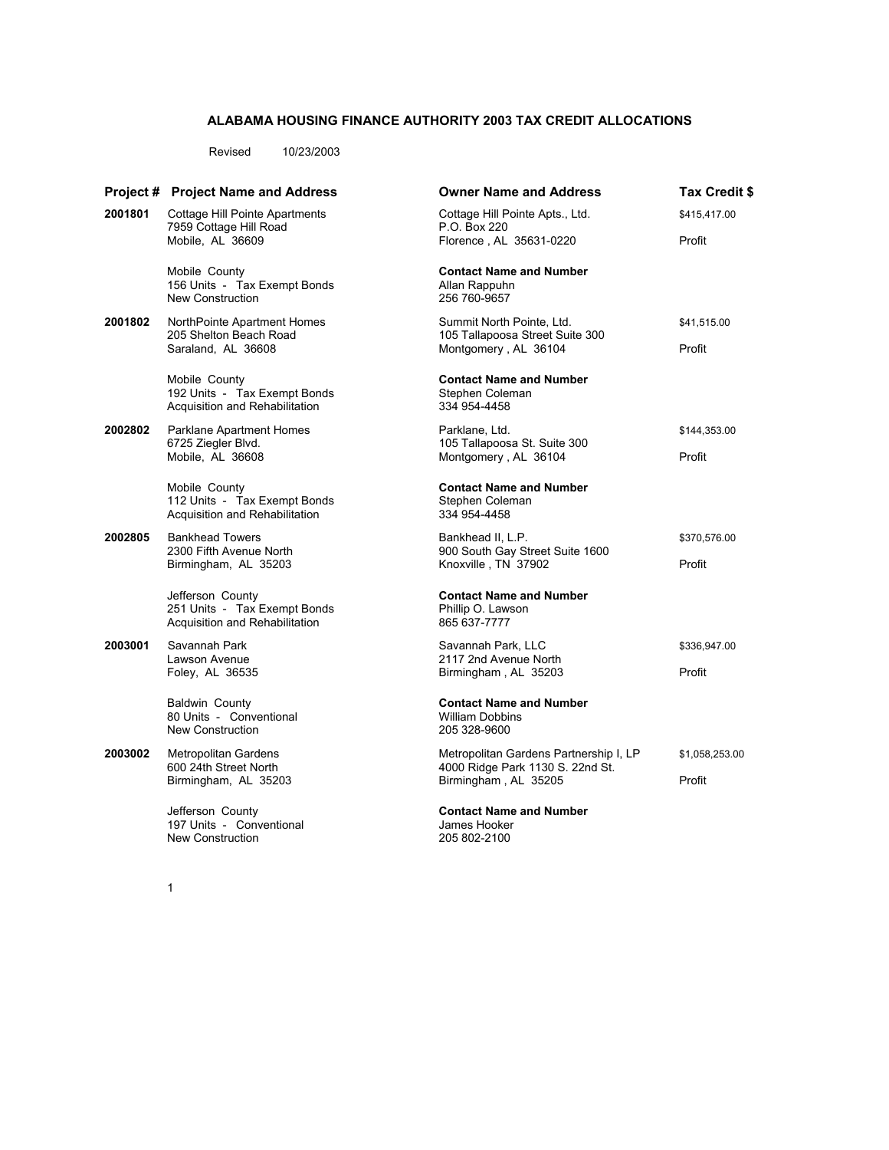## **ALABAMA HOUSING FINANCE AUTHORITY 2003 TAX CREDIT ALLOCATIONS**

Revised 10/23/2003

|         | <b>Project # Project Name and Address</b>                                          | <b>Owner Name and Address</b>                                                                                | Tax Credit \$  |
|---------|------------------------------------------------------------------------------------|--------------------------------------------------------------------------------------------------------------|----------------|
| 2001801 | Cottage Hill Pointe Apartments<br>7959 Cottage Hill Road                           | Cottage Hill Pointe Apts., Ltd.<br>P.O. Box 220                                                              | \$415,417.00   |
|         | Mobile, AL 36609                                                                   | Florence, AL 35631-0220                                                                                      | Profit         |
|         | Mobile County<br>156 Units - Tax Exempt Bonds<br>New Construction                  | <b>Contact Name and Number</b><br>Allan Rappuhn<br>256 760-9657                                              |                |
| 2001802 | NorthPointe Apartment Homes<br>205 Shelton Beach Road                              | Summit North Pointe, Ltd.<br>105 Tallapoosa Street Suite 300                                                 | \$41,515.00    |
|         | Saraland, AL 36608                                                                 | Montgomery, AL 36104                                                                                         | Profit         |
|         | Mobile County<br>192 Units - Tax Exempt Bonds<br>Acquisition and Rehabilitation    | <b>Contact Name and Number</b><br>Stephen Coleman<br>334 954-4458                                            |                |
| 2002802 | Parklane, Ltd.<br>Parklane Apartment Homes                                         | 105 Tallapoosa St. Suite 300                                                                                 | \$144,353.00   |
|         | 6725 Ziegler Blvd.<br>Mobile, AL 36608                                             | Montgomery, AL 36104                                                                                         | Profit         |
|         | Mobile County<br>112 Units - Tax Exempt Bonds<br>Acquisition and Rehabilitation    | <b>Contact Name and Number</b><br>Stephen Coleman<br>334 954-4458                                            |                |
| 2002805 | <b>Bankhead Towers</b><br>2300 Fifth Avenue North                                  | Bankhead II, L.P.<br>900 South Gay Street Suite 1600                                                         | \$370,576.00   |
|         | Birmingham, AL 35203                                                               | Knoxville, TN 37902                                                                                          | Profit         |
|         | Jefferson County<br>251 Units - Tax Exempt Bonds<br>Acquisition and Rehabilitation | <b>Contact Name and Number</b><br>Phillip O. Lawson<br>865 637-7777                                          |                |
| 2003001 | Savannah Park<br>Lawson Avenue                                                     | Savannah Park, LLC<br>2117 2nd Avenue North                                                                  | \$336,947.00   |
|         | Foley, AL 36535                                                                    | Birmingham, AL 35203                                                                                         | Profit         |
|         | <b>Baldwin County</b><br>80 Units - Conventional<br>New Construction               | <b>Contact Name and Number</b><br><b>William Dobbins</b><br>205 328-9600                                     |                |
| 2003002 | <b>Metropolitan Gardens</b>                                                        | Metropolitan Gardens Partnership I, LP<br>4000 Ridge Park 1130 S. 22nd St.<br>Birmingham, AL 35205<br>Profit | \$1,058,253.00 |
|         | 600 24th Street North<br>Birmingham, AL 35203                                      |                                                                                                              |                |
|         | Jefferson County<br>197 Units - Conventional<br><b>New Construction</b>            | <b>Contact Name and Number</b><br>James Hooker<br>205 802-2100                                               |                |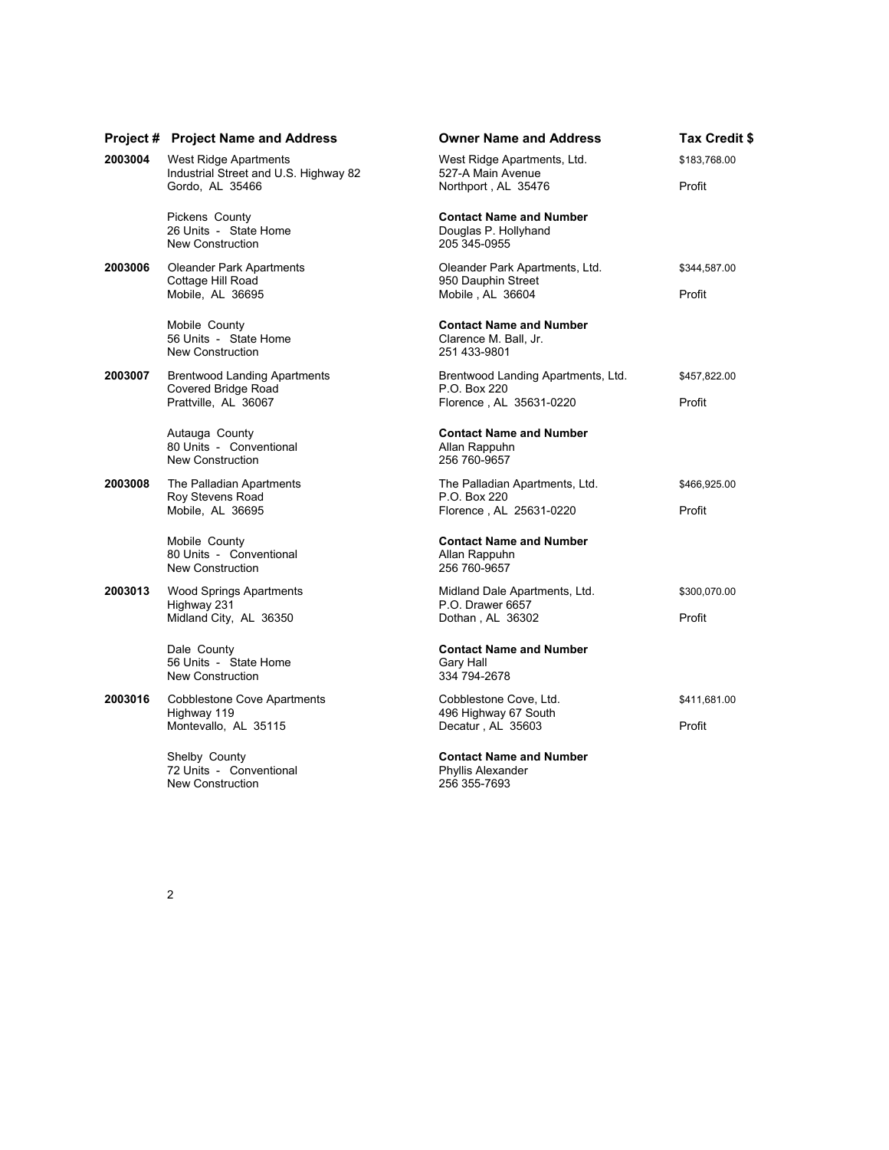|         | <b>Project # Project Name and Address</b>                                          | <b>Owner Name and Address</b>                                                 | <b>Tax Credit \$</b>   |
|---------|------------------------------------------------------------------------------------|-------------------------------------------------------------------------------|------------------------|
| 2003004 | West Ridge Apartments                                                              | West Ridge Apartments, Ltd.                                                   | \$183,768.00           |
|         | Industrial Street and U.S. Highway 82<br>Gordo, AL 35466                           | 527-A Main Avenue<br>Northport, AL 35476                                      | Profit                 |
|         | Pickens County<br>26 Units - State Home<br><b>New Construction</b>                 | <b>Contact Name and Number</b><br>Douglas P. Hollyhand<br>205 345-0955        |                        |
| 2003006 | <b>Oleander Park Apartments</b><br>Cottage Hill Road<br>Mobile, AL 36695           | Oleander Park Apartments, Ltd.<br>950 Dauphin Street<br>Mobile, AL 36604      | \$344,587.00<br>Profit |
|         | Mobile County<br>56 Units - State Home<br>New Construction                         | <b>Contact Name and Number</b><br>Clarence M. Ball, Jr.<br>251 433-9801       |                        |
| 2003007 | <b>Brentwood Landing Apartments</b><br>Covered Bridge Road<br>Prattville, AL 36067 | Brentwood Landing Apartments, Ltd.<br>P.O. Box 220<br>Florence, AL 35631-0220 | \$457,822.00<br>Profit |
|         | Autauga County<br>80 Units - Conventional<br>New Construction                      | <b>Contact Name and Number</b><br>Allan Rappuhn<br>256 760-9657               |                        |
| 2003008 | The Palladian Apartments<br>Roy Stevens Road<br>Mobile, AL 36695                   | The Palladian Apartments, Ltd.<br>P.O. Box 220<br>Florence, AL 25631-0220     | \$466,925.00<br>Profit |
|         | Mobile County<br>80 Units - Conventional<br>New Construction                       | <b>Contact Name and Number</b><br>Allan Rappuhn<br>256 760-9657               |                        |
| 2003013 | <b>Wood Springs Apartments</b><br>Highway 231<br>Midland City, AL 36350            | Midland Dale Apartments, Ltd.<br>P.O. Drawer 6657<br>Dothan, AL 36302         | \$300,070.00<br>Profit |
|         | Dale County<br>56 Units - State Home<br><b>New Construction</b>                    | <b>Contact Name and Number</b><br>Gary Hall<br>334 794-2678                   |                        |
| 2003016 | <b>Cobblestone Cove Apartments</b><br>Highway 119<br>Montevallo, AL 35115          | Cobblestone Cove, Ltd.<br>496 Highway 67 South<br>Decatur, AL 35603           | \$411,681.00<br>Profit |
|         | Shelby County<br>72 Units - Conventional<br>New Construction                       | <b>Contact Name and Number</b><br>Phyllis Alexander<br>256 355-7693           |                        |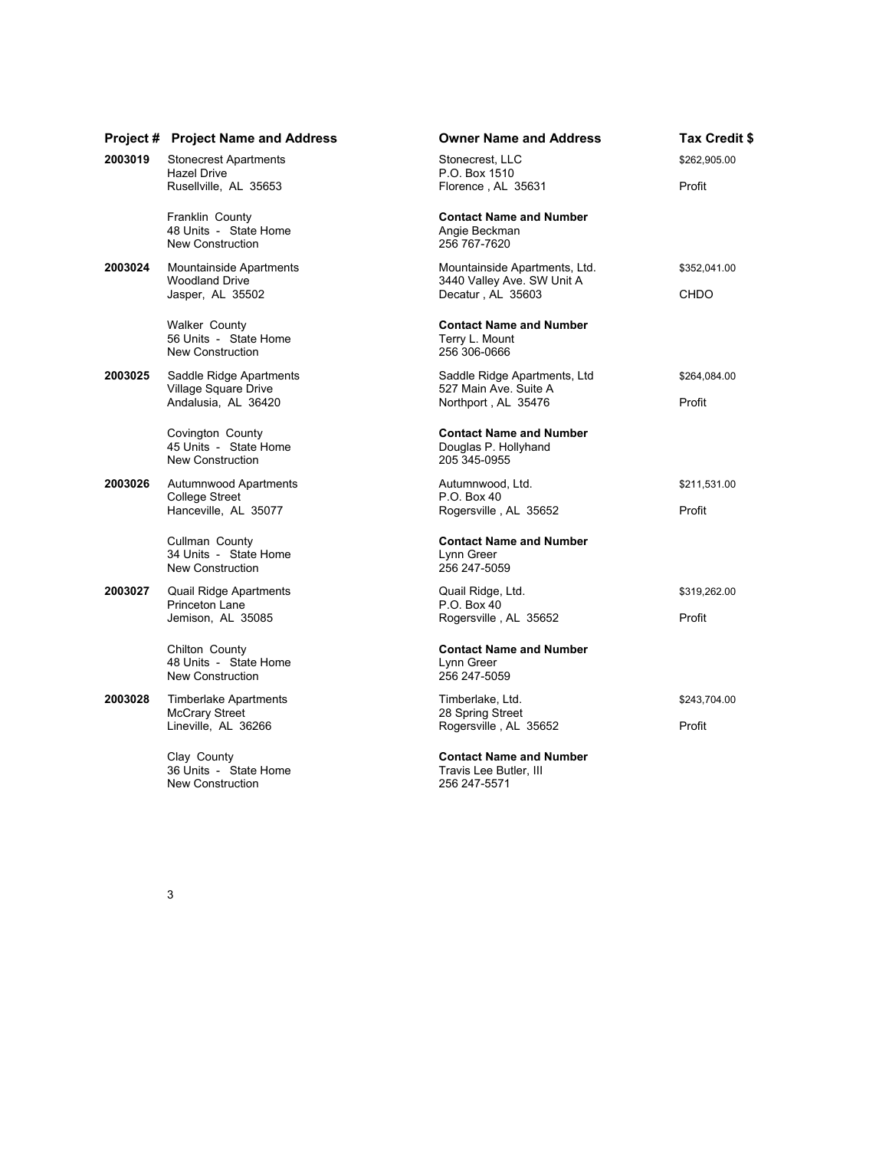|         | <b>Project # Project Name and Address</b>                            | <b>Owner Name and Address</b>                                            | Tax Credit \$ |
|---------|----------------------------------------------------------------------|--------------------------------------------------------------------------|---------------|
| 2003019 | <b>Stonecrest Apartments</b><br>Hazel Drive                          | Stonecrest, LLC<br>P.O. Box 1510                                         | \$262,905.00  |
|         | Rusellville, AL 35653                                                | Florence, AL 35631                                                       | Profit        |
|         | Franklin County<br>48 Units - State Home<br>New Construction         | <b>Contact Name and Number</b><br>Angie Beckman<br>256 767-7620          |               |
| 2003024 | Mountainside Apartments<br><b>Woodland Drive</b><br>Jasper, AL 35502 | Mountainside Apartments, Ltd.<br>3440 Valley Ave. SW Unit A              | \$352,041.00  |
|         |                                                                      | Decatur, AL 35603                                                        | CHDO          |
|         | <b>Walker County</b><br>56 Units - State Home<br>New Construction    | <b>Contact Name and Number</b><br>Terry L. Mount<br>256 306-0666         |               |
| 2003025 | Saddle Ridge Apartments                                              | Saddle Ridge Apartments, Ltd<br>527 Main Ave. Suite A                    | \$264,084.00  |
|         | Village Square Drive<br>Andalusia, AL 36420                          | Northport, AL 35476                                                      | Profit        |
|         | Covington County<br>45 Units - State Home<br><b>New Construction</b> | <b>Contact Name and Number</b><br>Douglas P. Hollyhand<br>205 345-0955   |               |
| 2003026 | Autumnwood Apartments                                                | Autumnwood, Ltd.                                                         | \$211,531.00  |
|         | College Street<br>Hanceville, AL 35077                               | P.O. Box 40<br>Rogersville, AL 35652                                     | Profit        |
|         | Cullman County<br>34 Units - State Home                              | <b>Contact Name and Number</b><br>Lynn Greer                             |               |
|         | New Construction                                                     | 256 247-5059                                                             |               |
| 2003027 | Quail Ridge Apartments<br>Princeton Lane                             | Quail Ridge, Ltd.<br>P.O. Box 40                                         | \$319,262.00  |
|         | Jemison, AL 35085                                                    | Rogersville, AL 35652                                                    | Profit        |
|         | Chilton County                                                       | <b>Contact Name and Number</b>                                           |               |
|         | 48 Units - State Home<br>New Construction                            | Lynn Greer<br>256 247-5059                                               |               |
| 2003028 | <b>Timberlake Apartments</b><br><b>McCrary Street</b>                | Timberlake, Ltd.<br>28 Spring Street                                     | \$243,704.00  |
|         | Lineville, AL 36266                                                  | Rogersville, AL 35652                                                    | Profit        |
|         | Clay County<br>36 Units - State Home<br>New Construction             | <b>Contact Name and Number</b><br>Travis Lee Butler, III<br>256 247-5571 |               |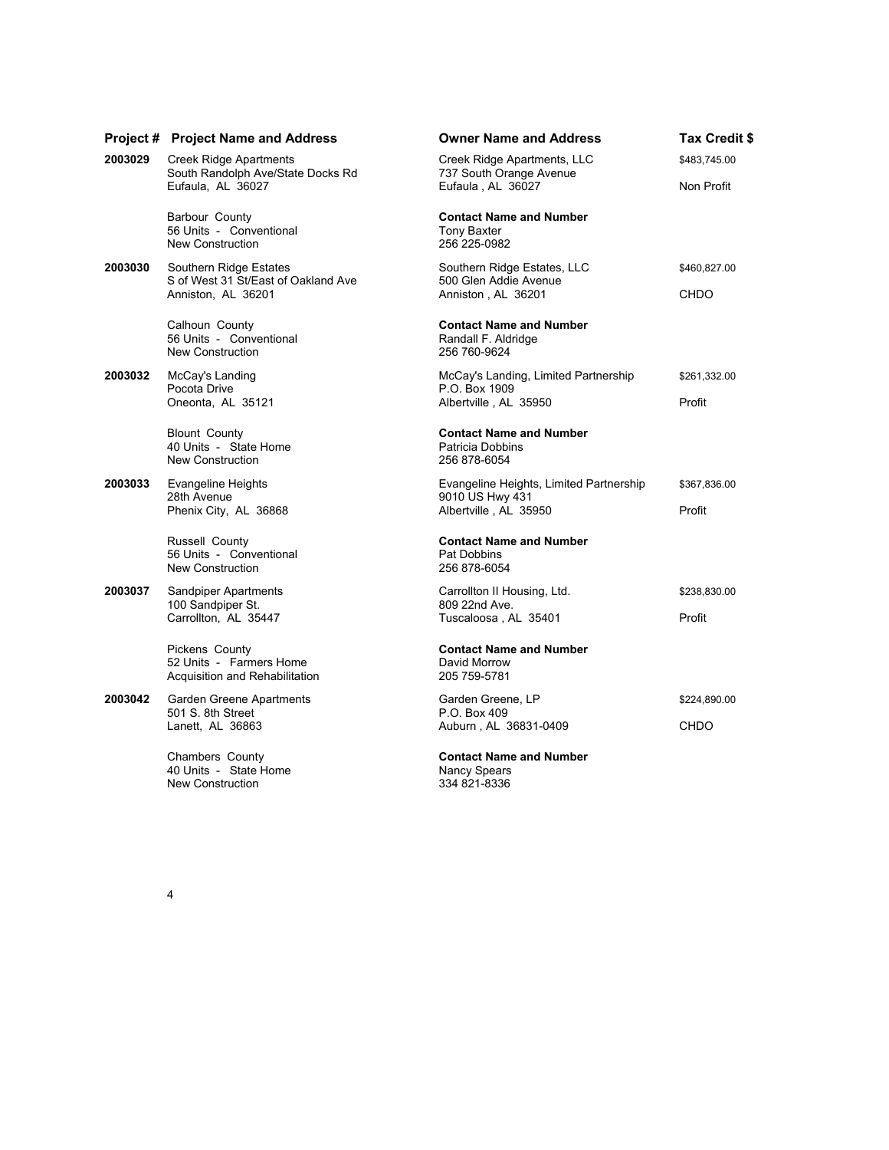|         | <b>Project # Project Name and Address</b>                                           | <b>Owner Name and Address</b>                                                  | Tax Credit \$ |
|---------|-------------------------------------------------------------------------------------|--------------------------------------------------------------------------------|---------------|
| 2003029 | Creek Ridge Apartments<br>South Randolph Ave/State Docks Rd<br>Eufaula, AL 36027    | Creek Ridge Apartments, LLC<br>737 South Orange Avenue<br>Eufaula, AL 36027    | \$483,745.00  |
|         |                                                                                     |                                                                                | Non Profit    |
|         | Barbour County<br>56 Units - Conventional<br>New Construction                       | <b>Contact Name and Number</b><br><b>Tony Baxter</b><br>256 225-0982           |               |
| 2003030 | Southern Ridge Estates<br>S of West 31 St/East of Oakland Ave<br>Anniston, AL 36201 | Southern Ridge Estates, LLC<br>500 Glen Addie Avenue<br>Anniston, AL 36201     | \$460,827.00  |
|         |                                                                                     |                                                                                | <b>CHDO</b>   |
|         | Calhoun County<br>56 Units - Conventional<br><b>New Construction</b>                | <b>Contact Name and Number</b><br>Randall F. Aldridge<br>256 760-9624          |               |
| 2003032 | McCay's Landing<br>Pocota Drive<br>Oneonta, AL 35121                                | McCay's Landing, Limited Partnership<br>P.O. Box 1909<br>Albertville, AL 35950 | \$261,332.00  |
|         |                                                                                     |                                                                                | Profit        |
|         | <b>Blount County</b><br>40 Units - State Home<br><b>New Construction</b>            | <b>Contact Name and Number</b><br>Patricia Dobbins<br>256 878-6054             |               |
| 2003033 | <b>Evangeline Heights</b>                                                           | Evangeline Heights, Limited Partnership                                        | \$367,836.00  |
|         | 28th Avenue<br>Phenix City, AL 36868                                                | 9010 US Hwy 431<br>Albertville, AL 35950                                       | Profit        |
|         | Russell County<br>56 Units - Conventional<br>New Construction                       | <b>Contact Name and Number</b><br>Pat Dobbins<br>256 878-6054                  |               |
| 2003037 | Sandpiper Apartments                                                                | Carrollton II Housing, Ltd.                                                    | \$238,830.00  |
|         | 100 Sandpiper St.<br>Carrollton, AL 35447                                           | 809 22nd Ave.<br>Tuscaloosa, AL 35401                                          | Profit        |
|         | Pickens County<br>52 Units - Farmers Home<br>Acquisition and Rehabilitation         | <b>Contact Name and Number</b><br>David Morrow<br>205 759-5781                 |               |
| 2003042 | Garden Greene Apartments                                                            | Garden Greene, LP                                                              | \$224,890.00  |
|         | 501 S. 8th Street<br>Lanett, AL 36863                                               | P.O. Box 409<br>Auburn, AL 36831-0409                                          | <b>CHDO</b>   |
|         | Chambers County<br>40 Units - State Home<br>New Construction                        | <b>Contact Name and Number</b><br><b>Nancy Spears</b><br>334 821-8336          |               |